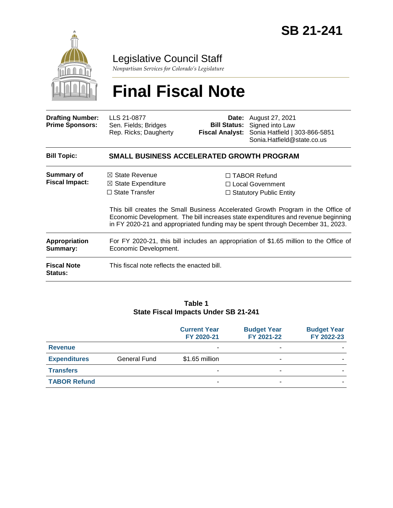

## Legislative Council Staff

*Nonpartisan Services for Colorado's Legislature*

# **Final Fiscal Note**

| <b>Drafting Number:</b><br><b>Prime Sponsors:</b> | LLS 21-0877<br>Sen. Fields; Bridges<br>Rep. Ricks; Daugherty                                                    |  | <b>Date:</b> August 27, 2021<br><b>Bill Status:</b> Signed into Law<br>Fiscal Analyst: Sonia Hatfield   303-866-5851<br>Sonia.Hatfield@state.co.us                                                                                                                                                                                     |  |  |
|---------------------------------------------------|-----------------------------------------------------------------------------------------------------------------|--|----------------------------------------------------------------------------------------------------------------------------------------------------------------------------------------------------------------------------------------------------------------------------------------------------------------------------------------|--|--|
| <b>Bill Topic:</b>                                | SMALL BUSINESS ACCELERATED GROWTH PROGRAM                                                                       |  |                                                                                                                                                                                                                                                                                                                                        |  |  |
| Summary of<br><b>Fiscal Impact:</b>               | $\boxtimes$ State Revenue<br>$\boxtimes$ State Expenditure<br>$\Box$ State Transfer                             |  | $\Box$ TABOR Refund<br>□ Local Government<br>$\Box$ Statutory Public Entity<br>This bill creates the Small Business Accelerated Growth Program in the Office of<br>Economic Development. The bill increases state expenditures and revenue beginning<br>in FY 2020-21 and appropriated funding may be spent through December 31, 2023. |  |  |
| <b>Appropriation</b><br>Summary:                  | For FY 2020-21, this bill includes an appropriation of \$1.65 million to the Office of<br>Economic Development. |  |                                                                                                                                                                                                                                                                                                                                        |  |  |
| <b>Fiscal Note</b><br>Status:                     | This fiscal note reflects the enacted bill.                                                                     |  |                                                                                                                                                                                                                                                                                                                                        |  |  |

#### **Table 1 State Fiscal Impacts Under SB 21-241**

|                     |              | <b>Current Year</b><br>FY 2020-21 | <b>Budget Year</b><br>FY 2021-22 | <b>Budget Year</b><br>FY 2022-23 |
|---------------------|--------------|-----------------------------------|----------------------------------|----------------------------------|
| <b>Revenue</b>      |              | ٠                                 | ۰                                |                                  |
| <b>Expenditures</b> | General Fund | \$1.65 million                    | -                                |                                  |
| <b>Transfers</b>    |              | -                                 | -                                |                                  |
| <b>TABOR Refund</b> |              | -                                 | -                                |                                  |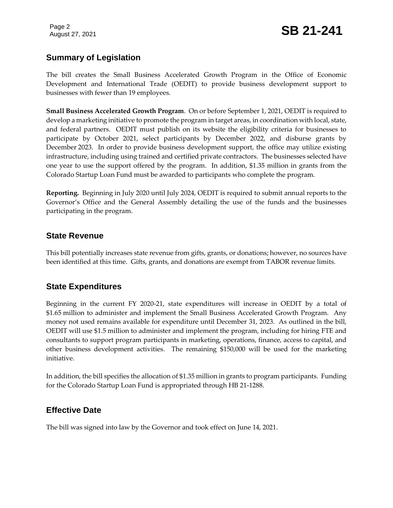### **Summary of Legislation**

The bill creates the Small Business Accelerated Growth Program in the Office of Economic Development and International Trade (OEDIT) to provide business development support to businesses with fewer than 19 employees.

**Small Business Accelerated Growth Program**. On or before September 1, 2021, OEDIT is required to develop a marketing initiative to promote the program in target areas, in coordination with local, state, and federal partners. OEDIT must publish on its website the eligibility criteria for businesses to participate by October 2021, select participants by December 2022, and disburse grants by December 2023. In order to provide business development support, the office may utilize existing infrastructure, including using trained and certified private contractors. The businesses selected have one year to use the support offered by the program. In addition, \$1.35 million in grants from the Colorado Startup Loan Fund must be awarded to participants who complete the program.

**Reporting.** Beginning in July 2020 until July 2024, OEDIT is required to submit annual reports to the Governor's Office and the General Assembly detailing the use of the funds and the businesses participating in the program.

#### **State Revenue**

This bill potentially increases state revenue from gifts, grants, or donations; however, no sources have been identified at this time. Gifts, grants, and donations are exempt from TABOR revenue limits.

#### **State Expenditures**

Beginning in the current FY 2020-21, state expenditures will increase in OEDIT by a total of \$1.65 million to administer and implement the Small Business Accelerated Growth Program. Any money not used remains available for expenditure until December 31, 2023. As outlined in the bill, OEDIT will use \$1.5 million to administer and implement the program, including for hiring FTE and consultants to support program participants in marketing, operations, finance, access to capital, and other business development activities. The remaining \$150,000 will be used for the marketing initiative.

In addition, the bill specifies the allocation of \$1.35 million in grants to program participants. Funding for the Colorado Startup Loan Fund is appropriated through HB 21-1288.

#### **Effective Date**

The bill was signed into law by the Governor and took effect on June 14, 2021.